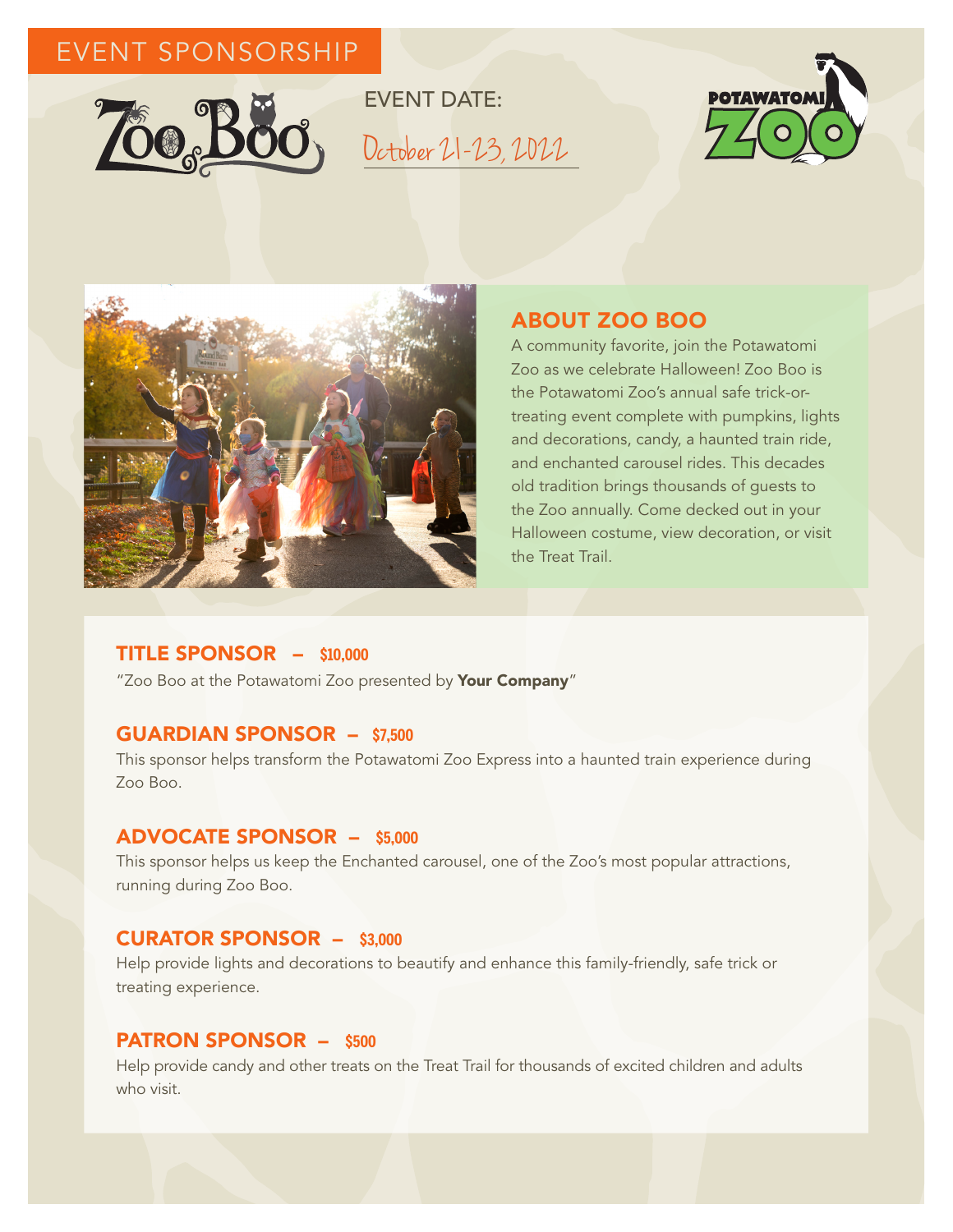# EVENT SPONSORSHIP



EVENT DATE: October 21-23, 2022





## ABOUT ZOO BOO

A community favorite, join the Potawatomi Zoo as we celebrate Halloween! Zoo Boo is the Potawatomi Zoo's annual safe trick-ortreating event complete with pumpkins, lights and decorations, candy, a haunted train ride, and enchanted carousel rides. This decades old tradition brings thousands of guests to the Zoo annually. Come decked out in your Halloween costume, view decoration, or visit the Treat Trail.

#### TITLE SPONSOR – **\$10,000**

"Zoo Boo at the Potawatomi Zoo presented by Your Company"

#### GUARDIAN SPONSOR – **\$7,500**

This sponsor helps transform the Potawatomi Zoo Express into a haunted train experience during Zoo Boo.

#### ADVOCATE SPONSOR – **\$5,000**

This sponsor helps us keep the Enchanted carousel, one of the Zoo's most popular attractions, running during Zoo Boo.

#### CURATOR SPONSOR – **\$3,000**

Help provide lights and decorations to beautify and enhance this family-friendly, safe trick or treating experience.

#### PATRON SPONSOR – **\$500**

Help provide candy and other treats on the Treat Trail for thousands of excited children and adults who visit.